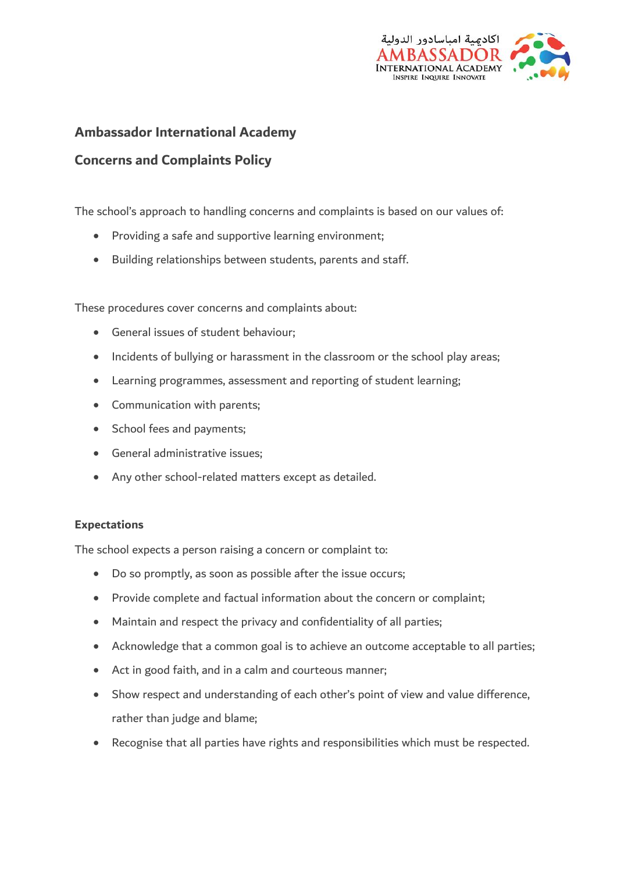

# **Ambassador International Academy**

# **Concerns and Complaints Policy**

The school's approach to handling concerns and complaints is based on our values of:

- Providing a safe and supportive learning environment;
- Building relationships between students, parents and staff.

These procedures cover concerns and complaints about:

- General issues of student behaviour;
- Incidents of bullying or harassment in the classroom or the school play areas;
- Learning programmes, assessment and reporting of student learning;
- Communication with parents;
- School fees and payments:
- General administrative issues;
- Any other school-related matters except as detailed.

### **Expectations**

The school expects a person raising a concern or complaint to:

- Do so promptly, as soon as possible after the issue occurs;
- Provide complete and factual information about the concern or complaint;
- Maintain and respect the privacy and confidentiality of all parties;
- Acknowledge that a common goal is to achieve an outcome acceptable to all parties;
- Act in good faith, and in a calm and courteous manner;
- Show respect and understanding of each other's point of view and value difference, rather than judge and blame;
- Recognise that all parties have rights and responsibilities which must be respected.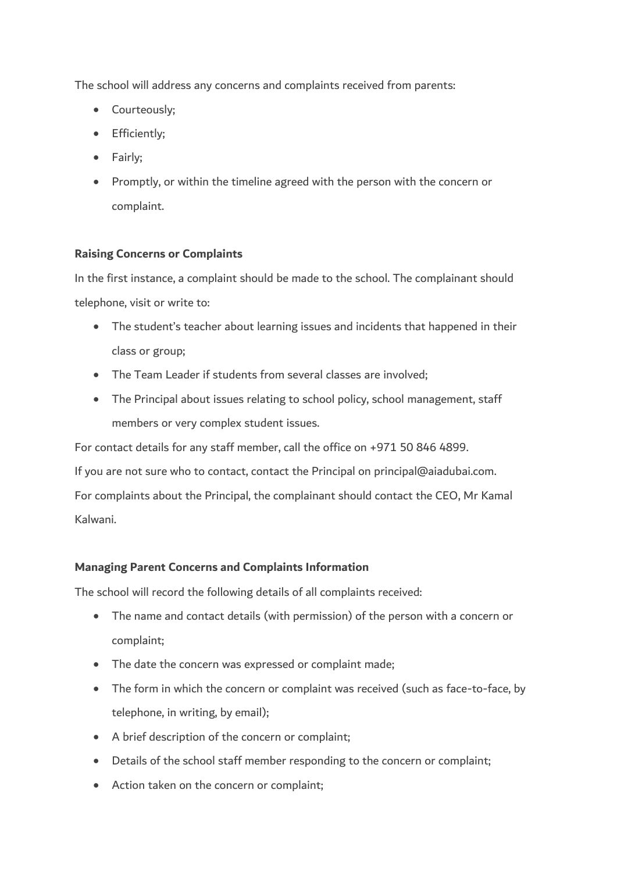The school will address any concerns and complaints received from parents:

- Courteously:
- Efficiently;
- Fairly:
- Promptly, or within the timeline agreed with the person with the concern or complaint.

## **Raising Concerns or Complaints**

In the first instance, a complaint should be made to the school. The complainant should telephone, visit or write to:

- The student's teacher about learning issues and incidents that happened in their class or group;
- The Team Leader if students from several classes are involved;
- The Principal about issues relating to school policy, school management, staff members or very complex student issues.

For contact details for any staff member, call the office on +971 50 846 4899.

If you are not sure who to contact, contact the Principal on principal@aiadubai.com.

For complaints about the Principal, the complainant should contact the CEO, Mr Kamal Kalwani.

## **Managing Parent Concerns and Complaints Information**

The school will record the following details of all complaints received:

- The name and contact details (with permission) of the person with a concern or complaint;
- The date the concern was expressed or complaint made;
- The form in which the concern or complaint was received (such as face-to-face, by telephone, in writing, by email);
- A brief description of the concern or complaint;
- Details of the school staff member responding to the concern or complaint;
- Action taken on the concern or complaint;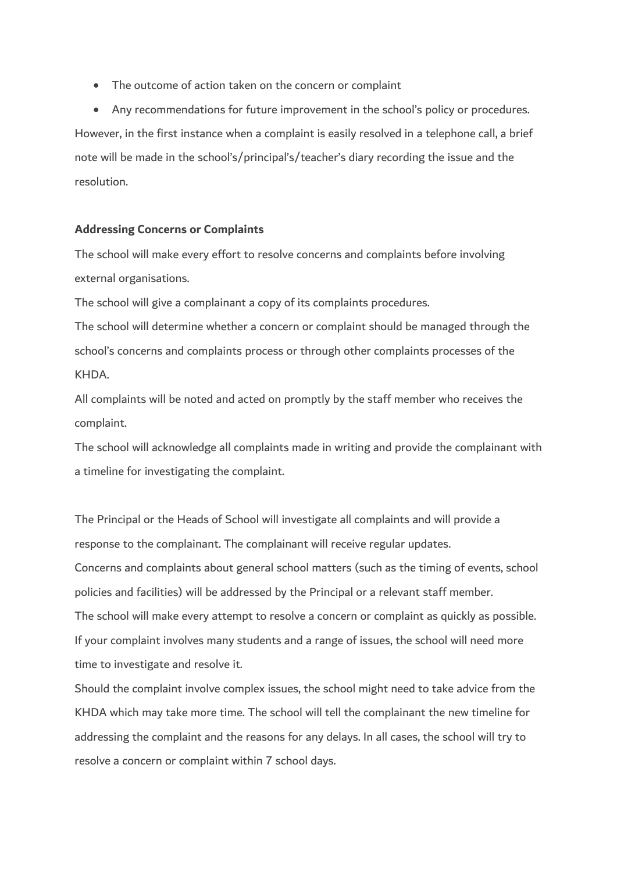• The outcome of action taken on the concern or complaint

 Any recommendations for future improvement in the school's policy or procedures. However, in the first instance when a complaint is easily resolved in a telephone call, a brief note will be made in the school's/principal's/teacher's diary recording the issue and the resolution.

#### **Addressing Concerns or Complaints**

The school will make every effort to resolve concerns and complaints before involving external organisations.

The school will give a complainant a copy of its complaints procedures.

The school will determine whether a concern or complaint should be managed through the school's concerns and complaints process or through other complaints processes of the KHDA.

All complaints will be noted and acted on promptly by the staff member who receives the complaint.

The school will acknowledge all complaints made in writing and provide the complainant with a timeline for investigating the complaint.

The Principal or the Heads of School will investigate all complaints and will provide a response to the complainant. The complainant will receive regular updates. Concerns and complaints about general school matters (such as the timing of events, school policies and facilities) will be addressed by the Principal or a relevant staff member. The school will make every attempt to resolve a concern or complaint as quickly as possible. If your complaint involves many students and a range of issues, the school will need more time to investigate and resolve it.

Should the complaint involve complex issues, the school might need to take advice from the KHDA which may take more time. The school will tell the complainant the new timeline for addressing the complaint and the reasons for any delays. In all cases, the school will try to resolve a concern or complaint within 7 school days.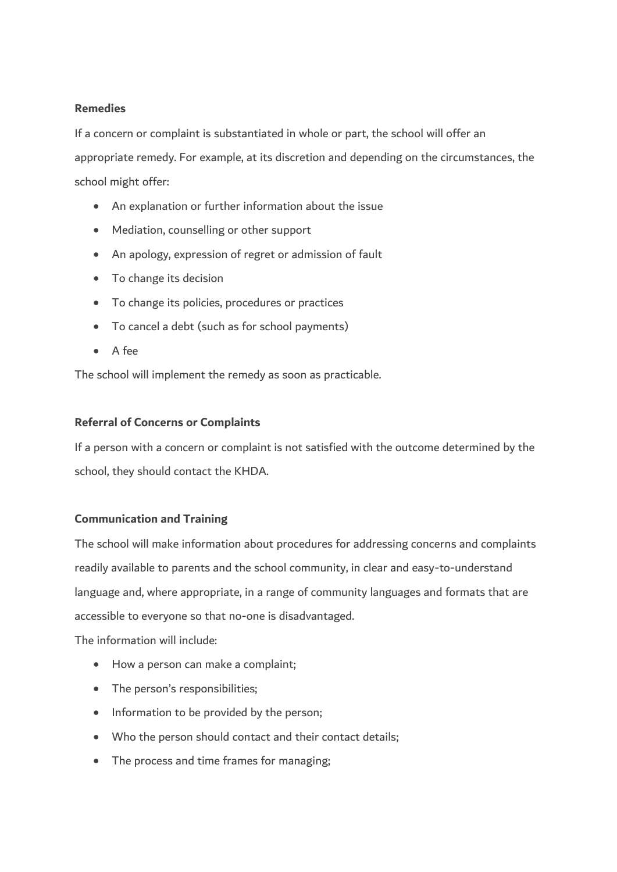### **Remedies**

If a concern or complaint is substantiated in whole or part, the school will offer an appropriate remedy. For example, at its discretion and depending on the circumstances, the school might offer:

- An explanation or further information about the issue
- Mediation, counselling or other support
- An apology, expression of regret or admission of fault
- To change its decision
- To change its policies, procedures or practices
- To cancel a debt (such as for school payments)
- A fee

The school will implement the remedy as soon as practicable.

### **Referral of Concerns or Complaints**

If a person with a concern or complaint is not satisfied with the outcome determined by the school, they should contact the KHDA.

## **Communication and Training**

The school will make information about procedures for addressing concerns and complaints readily available to parents and the school community, in clear and easy-to-understand language and, where appropriate, in a range of community languages and formats that are accessible to everyone so that no-one is disadvantaged.

The information will include:

- How a person can make a complaint;
- The person's responsibilities;
- Information to be provided by the person;
- Who the person should contact and their contact details;
- The process and time frames for managing;